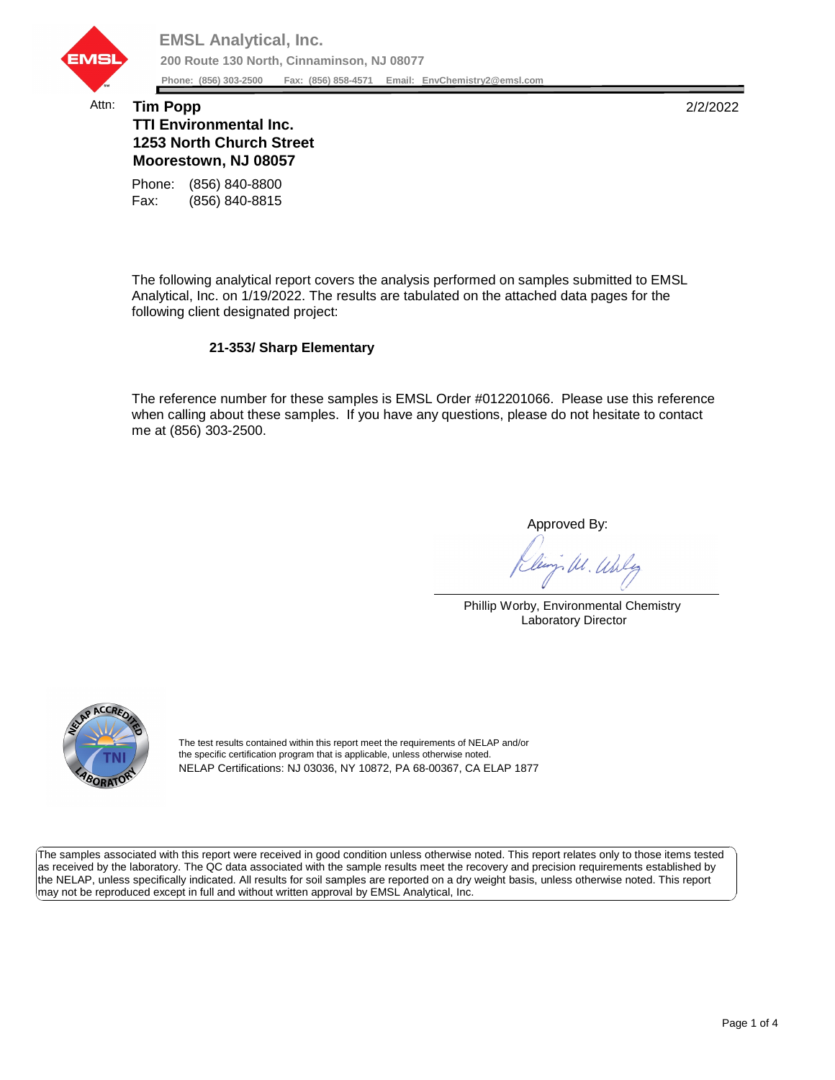

## Attn: **Tim Popp** 2/2/2022 **TTI Environmental Inc. 1253 North Church Street Moorestown, NJ 08057**

Fax: (856) 840-8815 Phone: (856) 840-8800

The following analytical report covers the analysis performed on samples submitted to EMSL Analytical, Inc. on 1/19/2022. The results are tabulated on the attached data pages for the following client designated project:

## **21-353/ Sharp Elementary**

The reference number for these samples is EMSL Order #012201066. Please use this reference when calling about these samples. If you have any questions, please do not hesitate to contact me at (856) 303-2500.

Approved By:

W. Whly

Phillip Worby, Environmental Chemistry Laboratory Director



The test results contained within this report meet the requirements of NELAP and/or the specific certification program that is applicable, unless otherwise noted. NELAP Certifications: NJ 03036, NY 10872, PA 68-00367, CA ELAP 1877

The samples associated with this report were received in good condition unless otherwise noted. This report relates only to those items tested as received by the laboratory. The QC data associated with the sample results meet the recovery and precision requirements established by the NELAP, unless specifically indicated. All results for soil samples are reported on a dry weight basis, unless otherwise noted. This report may not be reproduced except in full and without written approval by EMSL Analytical, Inc.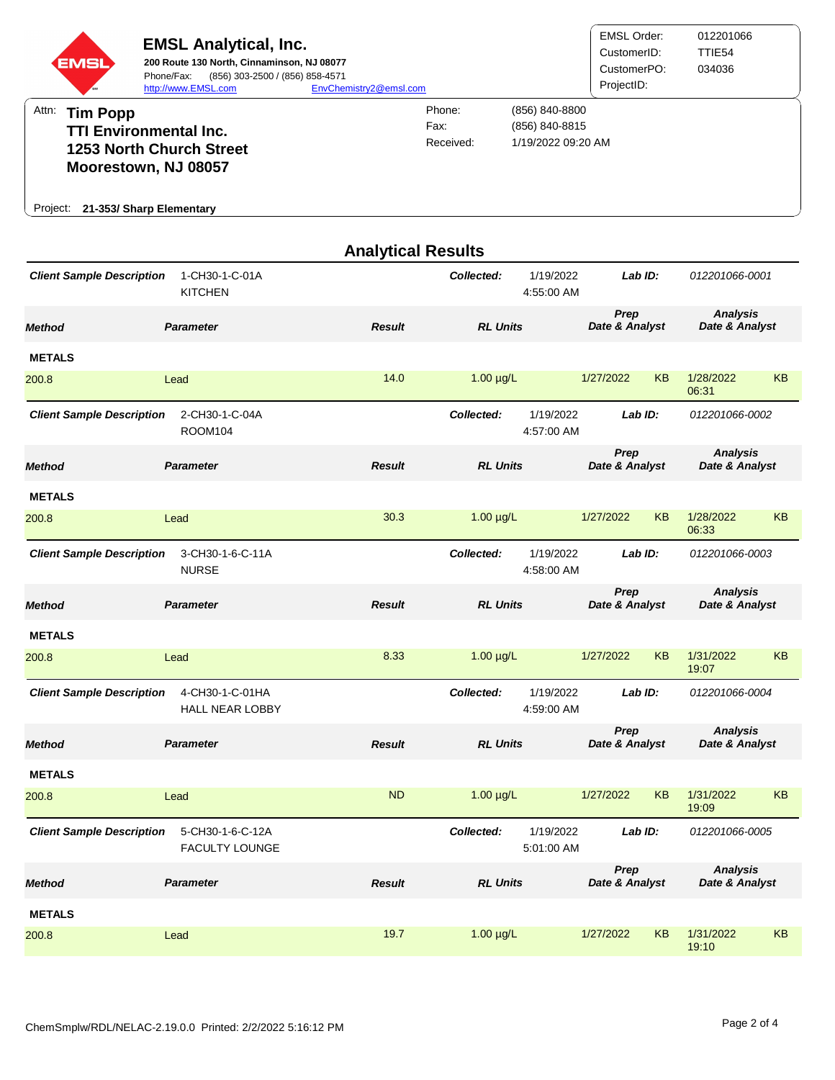

| <b>Analytical Results</b>        |                                           |               |                 |                         |                        |                        |                                   |                                   |  |  |
|----------------------------------|-------------------------------------------|---------------|-----------------|-------------------------|------------------------|------------------------|-----------------------------------|-----------------------------------|--|--|
| <b>Client Sample Description</b> | 1-CH30-1-C-01A<br><b>KITCHEN</b>          |               | Collected:      | 1/19/2022<br>4:55:00 AM | Lab ID:                |                        | 012201066-0001                    |                                   |  |  |
| <b>Method</b>                    | <b>Parameter</b>                          | <b>Result</b> | <b>RL Units</b> |                         | Prep<br>Date & Analyst |                        | <b>Analysis</b><br>Date & Analyst |                                   |  |  |
| <b>METALS</b>                    |                                           |               |                 |                         |                        |                        |                                   |                                   |  |  |
| 200.8                            | Lead                                      | 14.0          | $1.00 \mu g/L$  |                         | 1/27/2022              | <b>KB</b>              | 1/28/2022<br>06:31                | <b>KB</b>                         |  |  |
| <b>Client Sample Description</b> | 2-CH30-1-C-04A<br><b>ROOM104</b>          |               | Collected:      | 1/19/2022<br>4:57:00 AM | Lab ID:                |                        | 012201066-0002                    |                                   |  |  |
| <b>Method</b>                    | <b>Parameter</b>                          | <b>Result</b> |                 | <b>RL Units</b>         |                        | Prep<br>Date & Analyst |                                   | <b>Analysis</b><br>Date & Analyst |  |  |
| <b>METALS</b>                    |                                           |               |                 |                         |                        |                        |                                   |                                   |  |  |
| 200.8                            | Lead                                      | 30.3          | $1.00 \mu g/L$  |                         | 1/27/2022              | KB                     | 1/28/2022<br>06:33                | <b>KB</b>                         |  |  |
| <b>Client Sample Description</b> | 3-CH30-1-6-C-11A<br><b>NURSE</b>          |               | Collected:      | 1/19/2022<br>4:58:00 AM | Lab ID:                |                        | 012201066-0003                    |                                   |  |  |
| Method                           | <b>Parameter</b>                          | <b>Result</b> | <b>RL Units</b> |                         | Prep<br>Date & Analyst |                        | <b>Analysis</b><br>Date & Analyst |                                   |  |  |
| <b>METALS</b>                    |                                           |               |                 |                         |                        |                        |                                   |                                   |  |  |
| 200.8                            | Lead                                      | 8.33          | $1.00 \mu g/L$  |                         | 1/27/2022              | <b>KB</b>              | 1/31/2022<br>19:07                | <b>KB</b>                         |  |  |
| <b>Client Sample Description</b> | 4-CH30-1-C-01HA<br><b>HALL NEAR LOBBY</b> |               | Collected:      | 1/19/2022<br>4:59:00 AM | Lab ID:                |                        | 012201066-0004                    |                                   |  |  |
| Method                           | <b>Parameter</b>                          | <b>Result</b> | <b>RL Units</b> |                         | Prep<br>Date & Analyst |                        | <b>Analysis</b><br>Date & Analyst |                                   |  |  |
| <b>METALS</b>                    |                                           |               |                 |                         |                        |                        |                                   |                                   |  |  |
| 200.8                            | Lead                                      | <b>ND</b>     | $1.00 \mu g/L$  |                         | 1/27/2022              | KB                     | 1/31/2022<br>19:09                | <b>KB</b>                         |  |  |
| <b>Client Sample Description</b> | 5-CH30-1-6-C-12A<br><b>FACULTY LOUNGE</b> |               | Collected:      | 1/19/2022<br>5:01:00 AM | Lab ID:                |                        | 012201066-0005                    |                                   |  |  |
| <b>Method</b>                    | <b>Parameter</b>                          | <b>Result</b> | <b>RL Units</b> |                         | Prep<br>Date & Analyst |                        | <b>Analysis</b><br>Date & Analyst |                                   |  |  |
| <b>METALS</b>                    |                                           |               |                 |                         |                        |                        |                                   |                                   |  |  |
| 200.8                            | Lead                                      | 19.7          | $1.00 \mu g/L$  |                         | 1/27/2022              | KB                     | 1/31/2022<br>19:10                | KB                                |  |  |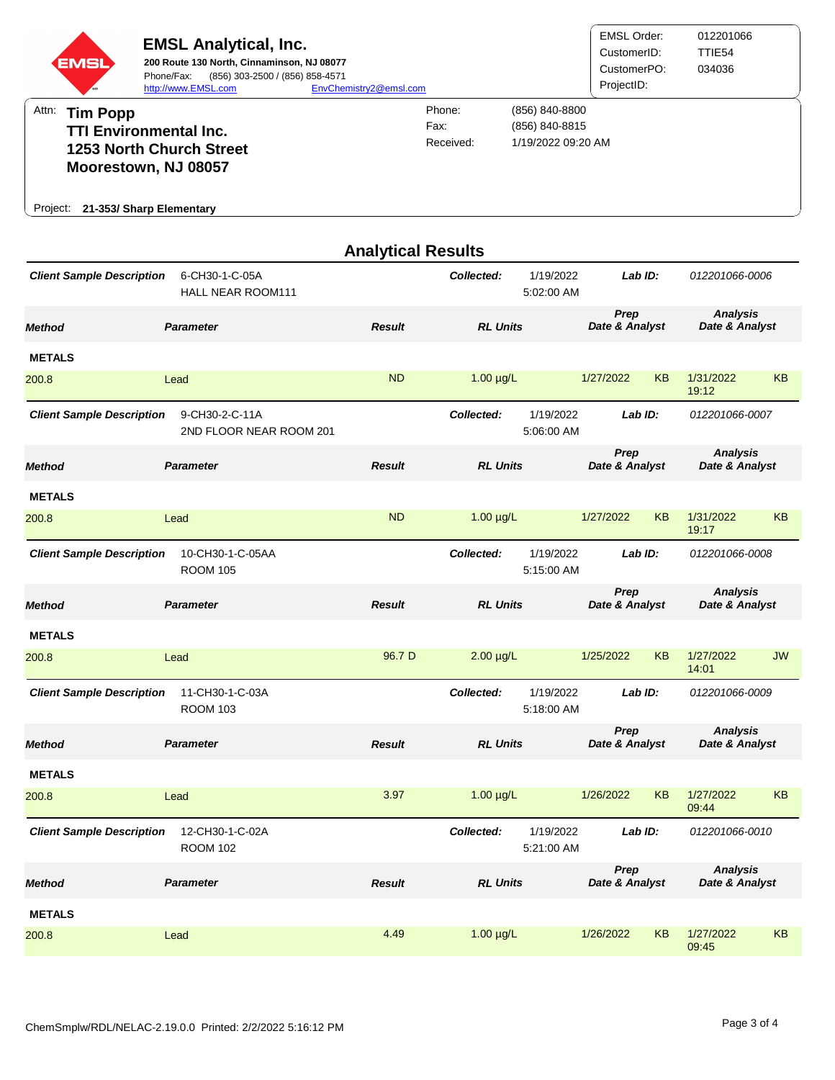

|                                  | <b>I INLE INLAIN INVOINI I I I</b>        |               | ויות טט.∠ט.ט                          |                        |                                   |  |  |
|----------------------------------|-------------------------------------------|---------------|---------------------------------------|------------------------|-----------------------------------|--|--|
| <b>Method</b>                    | <b>Parameter</b>                          | <b>Result</b> | <b>RL Units</b>                       | Prep<br>Date & Analyst | <b>Analysis</b><br>Date & Analyst |  |  |
| <b>METALS</b>                    |                                           |               |                                       |                        |                                   |  |  |
| 200.8                            | Lead                                      | <b>ND</b>     | $1.00 \mu g/L$                        | 1/27/2022<br><b>KB</b> | 1/31/2022<br><b>KB</b><br>19:12   |  |  |
| <b>Client Sample Description</b> | 9-CH30-2-C-11A<br>2ND FLOOR NEAR ROOM 201 |               | Collected:<br>1/19/2022<br>5:06:00 AM | Lab ID:                | 012201066-0007                    |  |  |
| <b>Method</b>                    | <b>Parameter</b>                          | <b>Result</b> | <b>RL Units</b>                       | Prep<br>Date & Analyst | <b>Analysis</b><br>Date & Analyst |  |  |
| <b>METALS</b>                    |                                           |               |                                       |                        |                                   |  |  |
| 200.8                            | Lead                                      | <b>ND</b>     | $1.00 \mu g/L$                        | 1/27/2022<br><b>KB</b> | 1/31/2022<br><b>KB</b><br>19:17   |  |  |
| <b>Client Sample Description</b> | 10-CH30-1-C-05AA<br><b>ROOM 105</b>       |               | Collected:<br>1/19/2022<br>5:15:00 AM | Lab ID:                | 012201066-0008                    |  |  |
| <b>Method</b>                    | <b>Parameter</b>                          | <b>Result</b> | <b>RL Units</b>                       | Prep<br>Date & Analyst | <b>Analysis</b><br>Date & Analyst |  |  |
| <b>METALS</b>                    |                                           |               |                                       |                        |                                   |  |  |
| 200.8                            | Lead                                      | 96.7 D        | $2.00 \mu g/L$                        | <b>KB</b><br>1/25/2022 | 1/27/2022<br><b>JW</b><br>14:01   |  |  |
| <b>Client Sample Description</b> | 11-CH30-1-C-03A<br><b>ROOM 103</b>        |               | Collected:<br>1/19/2022<br>5:18:00 AM | Lab ID:                | 012201066-0009                    |  |  |
| <b>Method</b>                    | <b>Parameter</b>                          | <b>Result</b> | <b>RL Units</b>                       | Prep<br>Date & Analyst | <b>Analysis</b><br>Date & Analyst |  |  |
| <b>METALS</b>                    |                                           |               |                                       |                        |                                   |  |  |
| 200.8                            | Lead                                      | 3.97          | $1.00 \mu g/L$                        | 1/26/2022<br><b>KB</b> | 1/27/2022<br><b>KB</b><br>09:44   |  |  |
| <b>Client Sample Description</b> | 12-CH30-1-C-02A<br><b>ROOM 102</b>        |               | 1/19/2022<br>Collected:<br>5:21:00 AM | Lab ID:                | 012201066-0010                    |  |  |
| <b>Method</b>                    | <b>Parameter</b>                          | <b>Result</b> | <b>RL Units</b>                       | Prep<br>Date & Analyst | <b>Analysis</b><br>Date & Analyst |  |  |
| <b>METALS</b>                    |                                           |               |                                       |                        |                                   |  |  |
| 200.8                            | Lead                                      | 4.49          | $1.00 \mu g/L$                        | 1/26/2022<br><b>KB</b> | 1/27/2022<br><b>KB</b><br>09:45   |  |  |